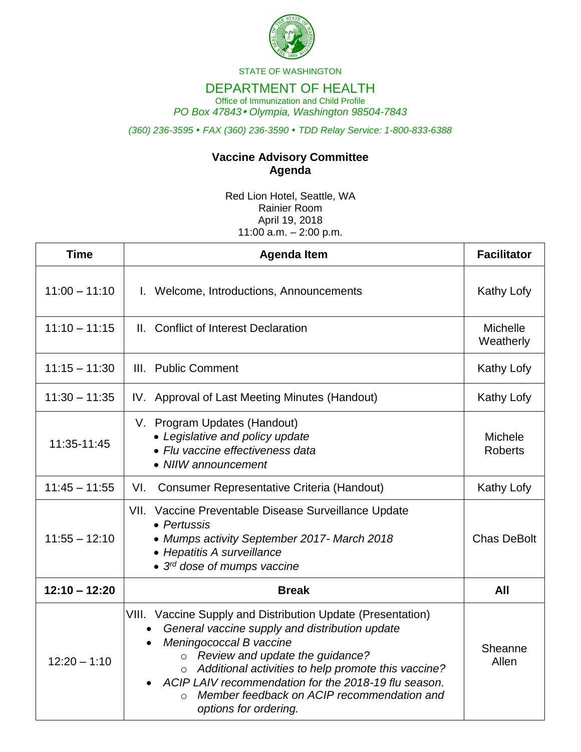

STATE OF WASHINGTON

## DEPARTMENT OF HEALTH

Office of Immunization and Child Profile *PO Box 47843 Olympia, Washington 98504-7843*

*(360) 236-3595 FAX (360) 236-3590 TDD Relay Service: 1-800-833-6388*

## **Vaccine Advisory Committee Agenda**

Red Lion Hotel, Seattle, WA Rainier Room April 19, 2018 11:00  $a.m. - 2:00 p.m.$ 

| <b>Time</b>     | <b>Agenda Item</b>                                                                                                                                                                                                                                                                                                                                                                         | <b>Facilitator</b>               |
|-----------------|--------------------------------------------------------------------------------------------------------------------------------------------------------------------------------------------------------------------------------------------------------------------------------------------------------------------------------------------------------------------------------------------|----------------------------------|
| $11:00 - 11:10$ | I. Welcome, Introductions, Announcements                                                                                                                                                                                                                                                                                                                                                   | Kathy Lofy                       |
| $11:10 - 11:15$ | II. Conflict of Interest Declaration                                                                                                                                                                                                                                                                                                                                                       | <b>Michelle</b><br>Weatherly     |
| $11:15 - 11:30$ | III. Public Comment                                                                                                                                                                                                                                                                                                                                                                        | Kathy Lofy                       |
| $11:30 - 11:35$ | IV. Approval of Last Meeting Minutes (Handout)                                                                                                                                                                                                                                                                                                                                             | Kathy Lofy                       |
| 11:35-11:45     | V. Program Updates (Handout)<br>• Legislative and policy update<br>• Flu vaccine effectiveness data<br>• NIIW announcement                                                                                                                                                                                                                                                                 | <b>Michele</b><br><b>Roberts</b> |
| $11:45 - 11:55$ | VI.<br><b>Consumer Representative Criteria (Handout)</b>                                                                                                                                                                                                                                                                                                                                   | Kathy Lofy                       |
| $11:55 - 12:10$ | VII. Vaccine Preventable Disease Surveillance Update<br>• Pertussis<br>• Mumps activity September 2017- March 2018<br>• Hepatitis A surveillance<br>• 3 <sup>rd</sup> dose of mumps vaccine                                                                                                                                                                                                | <b>Chas DeBolt</b>               |
| $12:10 - 12:20$ | <b>Break</b>                                                                                                                                                                                                                                                                                                                                                                               | All                              |
| $12:20 - 1:10$  | VIII. Vaccine Supply and Distribution Update (Presentation)<br>General vaccine supply and distribution update<br>Meningococcal B vaccine<br>o Review and update the guidance?<br>Additional activities to help promote this vaccine?<br>$\circ$<br>ACIP LAIV recommendation for the 2018-19 flu season.<br>Member feedback on ACIP recommendation and<br>$\Omega$<br>options for ordering. | Sheanne<br>Allen                 |